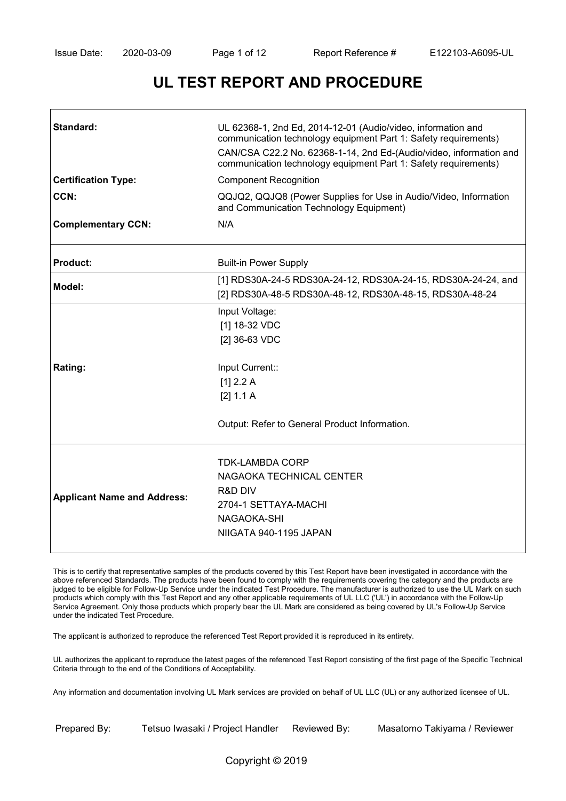# **UL TEST REPORT AND PROCEDURE**

| Standard:                          | UL 62368-1, 2nd Ed, 2014-12-01 (Audio/video, information and<br>communication technology equipment Part 1: Safety requirements)<br>CAN/CSA C22.2 No. 62368-1-14, 2nd Ed-(Audio/video, information and<br>communication technology equipment Part 1: Safety requirements) |
|------------------------------------|--------------------------------------------------------------------------------------------------------------------------------------------------------------------------------------------------------------------------------------------------------------------------|
| <b>Certification Type:</b>         | <b>Component Recognition</b>                                                                                                                                                                                                                                             |
| CCN:                               | QQJQ2, QQJQ8 (Power Supplies for Use in Audio/Video, Information<br>and Communication Technology Equipment)                                                                                                                                                              |
| <b>Complementary CCN:</b>          | N/A                                                                                                                                                                                                                                                                      |
| <b>Product:</b>                    | <b>Built-in Power Supply</b>                                                                                                                                                                                                                                             |
| Model:                             | [1] RDS30A-24-5 RDS30A-24-12, RDS30A-24-15, RDS30A-24-24, and<br>[2] RDS30A-48-5 RDS30A-48-12, RDS30A-48-15, RDS30A-48-24                                                                                                                                                |
| Rating:                            | Input Voltage:<br>[1] 18-32 VDC<br>[2] 36-63 VDC<br>Input Current::<br>[1] 2.2 A<br>[2] 1.1 A<br>Output: Refer to General Product Information.                                                                                                                           |
| <b>Applicant Name and Address:</b> | <b>TDK-LAMBDA CORP</b><br>NAGAOKA TECHNICAL CENTER<br><b>R&amp;D DIV</b><br>2704-1 SETTAYA-MACHI<br>NAGAOKA-SHI<br>NIIGATA 940-1195 JAPAN                                                                                                                                |

This is to certify that representative samples of the products covered by this Test Report have been investigated in accordance with the above referenced Standards. The products have been found to comply with the requirements covering the category and the products are judged to be eligible for Follow-Up Service under the indicated Test Procedure. The manufacturer is authorized to use the UL Mark on such products which comply with this Test Report and any other applicable requirements of UL LLC ('UL') in accordance with the Follow-Up Service Agreement. Only those products which properly bear the UL Mark are considered as being covered by UL's Follow-Up Service under the indicated Test Procedure.

The applicant is authorized to reproduce the referenced Test Report provided it is reproduced in its entirety.

UL authorizes the applicant to reproduce the latest pages of the referenced Test Report consisting of the first page of the Specific Technical Criteria through to the end of the Conditions of Acceptability.

Any information and documentation involving UL Mark services are provided on behalf of UL LLC (UL) or any authorized licensee of UL.

Prepared By: Tetsuo Iwasaki / Project Handler Reviewed By: Masatomo Takiyama / Reviewer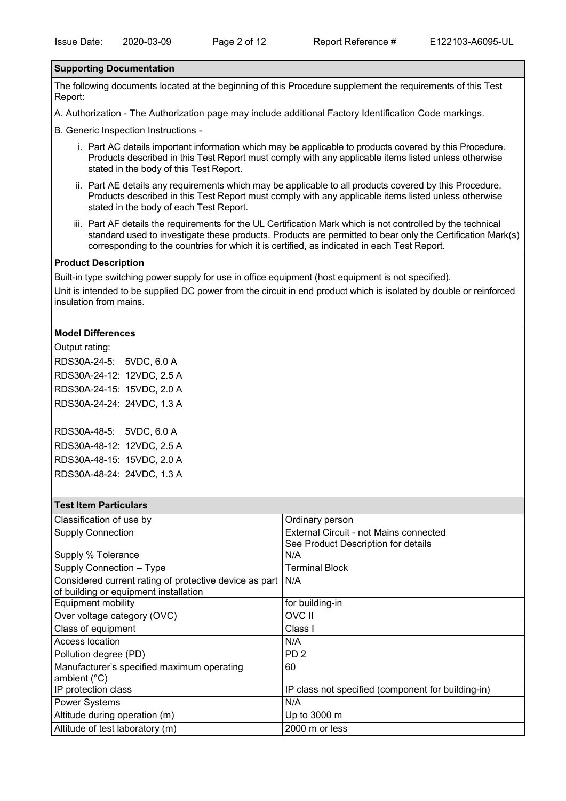#### **Supporting Documentation**

The following documents located at the beginning of this Procedure supplement the requirements of this Test Report:

A. Authorization - The Authorization page may include additional Factory Identification Code markings.

B. Generic Inspection Instructions -

- i. Part AC details important information which may be applicable to products covered by this Procedure. Products described in this Test Report must comply with any applicable items listed unless otherwise stated in the body of this Test Report.
- ii. Part AE details any requirements which may be applicable to all products covered by this Procedure. Products described in this Test Report must comply with any applicable items listed unless otherwise stated in the body of each Test Report.
- iii. Part AF details the requirements for the UL Certification Mark which is not controlled by the technical standard used to investigate these products. Products are permitted to bear only the Certification Mark(s) corresponding to the countries for which it is certified, as indicated in each Test Report.

#### **Product Description**

Built-in type switching power supply for use in office equipment (host equipment is not specified).

Unit is intended to be supplied DC power from the circuit in end product which is isolated by double or reinforced insulation from mains.

#### **Model Differences**

Output rating: RDS30A-24-5: 5VDC, 6.0 A RDS30A-24-12: 12VDC, 2.5 A RDS30A-24-15: 15VDC, 2.0 A RDS30A-24-24: 24VDC, 1.3 A

| RDS30A-48-5: 5VDC, 6.0 A   |  |
|----------------------------|--|
| RDS30A-48-12: 12VDC, 2.5 A |  |
| RDS30A-48-15: 15VDC, 2.0 A |  |
| RDS30A-48-24: 24VDC, 1.3 A |  |

#### **Test Item Particulars**

| Classification of use by                                   | Ordinary person                                    |
|------------------------------------------------------------|----------------------------------------------------|
| <b>Supply Connection</b>                                   | <b>External Circuit - not Mains connected</b>      |
|                                                            | See Product Description for details                |
| Supply % Tolerance                                         | N/A                                                |
| Supply Connection - Type                                   | Terminal Block                                     |
| Considered current rating of protective device as part N/A |                                                    |
| of building or equipment installation                      |                                                    |
| <b>Equipment mobility</b>                                  | for building-in                                    |
| Over voltage category (OVC)                                | <b>OVC II</b>                                      |
| Class of equipment                                         | Class I                                            |
| Access location                                            | N/A                                                |
| Pollution degree (PD)                                      | PD <sub>2</sub>                                    |
| Manufacturer's specified maximum operating                 | 60                                                 |
| ambient $(^{\circ}C)$                                      |                                                    |
| IP protection class                                        | IP class not specified (component for building-in) |
| <b>Power Systems</b>                                       | N/A                                                |
| Altitude during operation (m)                              | Up to 3000 m                                       |
| Altitude of test laboratory (m)                            | 2000 m or less                                     |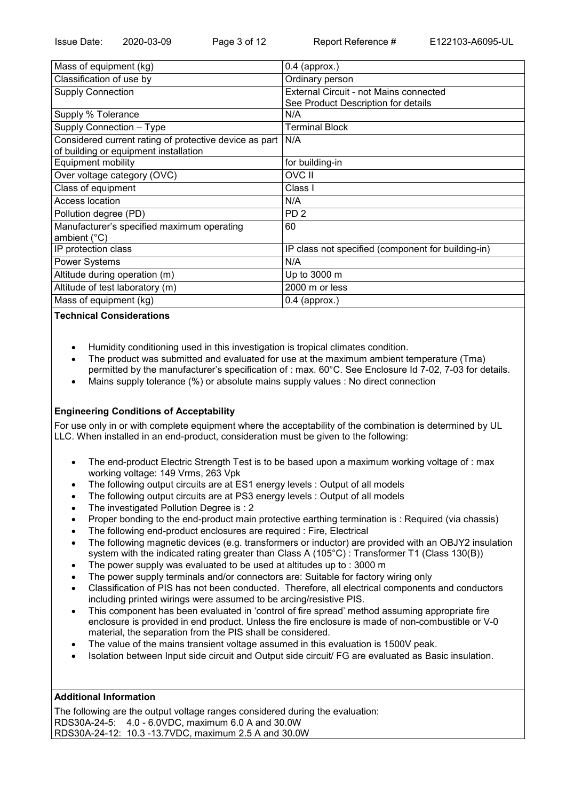| Mass of equipment (kg)                                 | $0.4$ (approx.)                                    |
|--------------------------------------------------------|----------------------------------------------------|
| Classification of use by                               | Ordinary person                                    |
| <b>Supply Connection</b>                               | External Circuit - not Mains connected             |
|                                                        | See Product Description for details                |
| Supply % Tolerance                                     | N/A                                                |
| Supply Connection - Type                               | <b>Terminal Block</b>                              |
| Considered current rating of protective device as part | N/A                                                |
| of building or equipment installation                  |                                                    |
| <b>Equipment mobility</b>                              | for building-in                                    |
| Over voltage category (OVC)                            | OVC II                                             |
| Class of equipment                                     | Class I                                            |
| Access location                                        | N/A                                                |
| Pollution degree (PD)                                  | PD <sub>2</sub>                                    |
| Manufacturer's specified maximum operating             | 60                                                 |
| ambient (°C)                                           |                                                    |
| IP protection class                                    | IP class not specified (component for building-in) |
| <b>Power Systems</b>                                   | N/A                                                |
| Altitude during operation (m)                          | Up to 3000 m                                       |
| Altitude of test laboratory (m)                        | 2000 m or less                                     |
| Mass of equipment (kg)                                 | $0.4$ (approx.)                                    |

## **Technical Considerations**

- · Humidity conditioning used in this investigation is tropical climates condition.
- · The product was submitted and evaluated for use at the maximum ambient temperature (Tma) permitted by the manufacturer's specification of : max. 60°C. See Enclosure Id 7-02, 7-03 for details.
- · Mains supply tolerance (%) or absolute mains supply values : No direct connection

## **Engineering Conditions of Acceptability**

For use only in or with complete equipment where the acceptability of the combination is determined by UL LLC. When installed in an end-product, consideration must be given to the following:

- The end-product Electric Strength Test is to be based upon a maximum working voltage of : max working voltage: 149 Vrms, 263 Vpk
- The following output circuits are at ES1 energy levels : Output of all models
- The following output circuits are at PS3 energy levels : Output of all models
- The investigated Pollution Degree is : 2
- Proper bonding to the end-product main protective earthing termination is : Required (via chassis)
- The following end-product enclosures are required : Fire, Electrical
- · The following magnetic devices (e.g. transformers or inductor) are provided with an OBJY2 insulation system with the indicated rating greater than Class A (105°C) : Transformer T1 (Class 130(B))
- The power supply was evaluated to be used at altitudes up to : 3000 m
- The power supply terminals and/or connectors are: Suitable for factory wiring only
- · Classification of PIS has not been conducted. Therefore, all electrical components and conductors including printed wirings were assumed to be arcing/resistive PIS.
- · This component has been evaluated in 'control of fire spread' method assuming appropriate fire enclosure is provided in end product. Unless the fire enclosure is made of non-combustible or V-0 material, the separation from the PIS shall be considered.
- The value of the mains transient voltage assumed in this evaluation is 1500V peak.
- · Isolation between Input side circuit and Output side circuit/ FG are evaluated as Basic insulation.

#### **Additional Information**

The following are the output voltage ranges considered during the evaluation: RDS30A-24-5: 4.0 - 6.0VDC, maximum 6.0 A and 30.0W RDS30A-24-12: 10.3 -13.7VDC, maximum 2.5 A and 30.0W